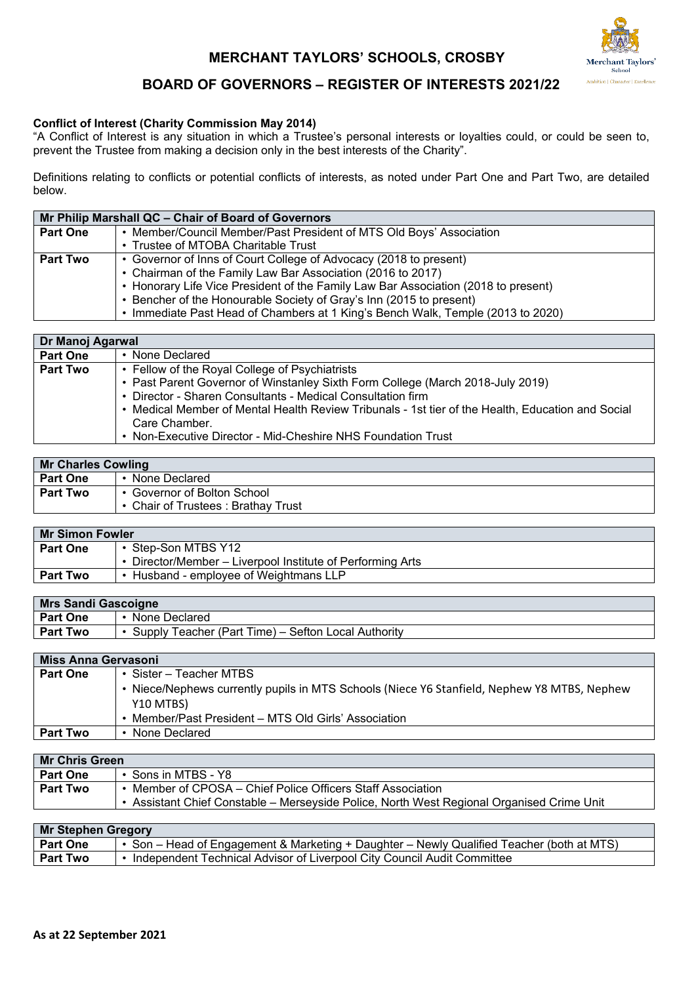# **MERCHANT TAYLORS' SCHOOLS, CROSBY**



# **BOARD OF GOVERNORS – REGISTER OF INTERESTS 2021/22**

## **Conflict of Interest (Charity Commission May 2014)**

"A Conflict of Interest is any situation in which a Trustee's personal interests or loyalties could, or could be seen to, prevent the Trustee from making a decision only in the best interests of the Charity".

Definitions relating to conflicts or potential conflicts of interests, as noted under Part One and Part Two, are detailed below.

| Mr Philip Marshall QC - Chair of Board of Governors |                                                                                    |
|-----------------------------------------------------|------------------------------------------------------------------------------------|
| <b>Part One</b>                                     | • Member/Council Member/Past President of MTS Old Boys' Association                |
|                                                     | • Trustee of MTOBA Charitable Trust                                                |
| <b>Part Two</b>                                     | • Governor of Inns of Court College of Advocacy (2018 to present)                  |
|                                                     | • Chairman of the Family Law Bar Association (2016 to 2017)                        |
|                                                     | • Honorary Life Vice President of the Family Law Bar Association (2018 to present) |
|                                                     | • Bencher of the Honourable Society of Gray's Inn (2015 to present)                |
|                                                     | • Immediate Past Head of Chambers at 1 King's Bench Walk, Temple (2013 to 2020)    |

| Dr Manoj Agarwal |                                                                                                   |
|------------------|---------------------------------------------------------------------------------------------------|
| <b>Part One</b>  | • None Declared                                                                                   |
| <b>Part Two</b>  | • Fellow of the Royal College of Psychiatrists                                                    |
|                  | • Past Parent Governor of Winstanley Sixth Form College (March 2018-July 2019)                    |
|                  | • Director - Sharen Consultants - Medical Consultation firm                                       |
|                  | • Medical Member of Mental Health Review Tribunals - 1st tier of the Health, Education and Social |
|                  | Care Chamber.                                                                                     |
|                  | • Non-Executive Director - Mid-Cheshire NHS Foundation Trust                                      |

| <b>Mr Charles Cowling</b> |                                    |
|---------------------------|------------------------------------|
| <b>Part One</b>           | None Declared                      |
| <b>Part Two</b>           | Governor of Bolton School          |
|                           | • Chair of Trustees: Brathay Trust |

| Mr Simon Fowler                                            |  |
|------------------------------------------------------------|--|
| • Step-Son MTBS Y12                                        |  |
| • Director/Member – Liverpool Institute of Performing Arts |  |
| • Husband - employee of Weightmans LLP                     |  |
|                                                            |  |

| <b>Mrs Sandi Gascoigne</b> |                                                     |
|----------------------------|-----------------------------------------------------|
| <b>Part One</b>            | None Declared                                       |
| Part Two                   | Supply Teacher (Part Time) – Sefton Local Authority |
|                            |                                                     |

|                 | Miss Anna Gervasoni                                                                         |  |
|-----------------|---------------------------------------------------------------------------------------------|--|
| <b>Part One</b> | • Sister – Teacher MTBS                                                                     |  |
|                 | • Niece/Nephews currently pupils in MTS Schools (Niece Y6 Stanfield, Nephew Y8 MTBS, Nephew |  |
|                 | Y10 MTBS)                                                                                   |  |
|                 | • Member/Past President - MTS Old Girls' Association                                        |  |
| <b>Part Two</b> | • None Declared                                                                             |  |

| <b>Mr Chris Green</b> |                                                                                                                                                      |
|-----------------------|------------------------------------------------------------------------------------------------------------------------------------------------------|
| <b>Part One</b>       | Sons in MTBS - Y8                                                                                                                                    |
| <b>Part Two</b>       | Member of CPOSA – Chief Police Officers Staff Association<br>Assistant Chief Constable – Merseyside Police, North West Regional Organised Crime Unit |

| <b>Mr Stephen Gregory</b> |                                                                                           |
|---------------------------|-------------------------------------------------------------------------------------------|
| <b>Part One</b>           | • Son – Head of Engagement & Marketing + Daughter – Newly Qualified Teacher (both at MTS) |
| <b>Part Two</b>           | Independent Technical Advisor of Liverpool City Council Audit Committee                   |